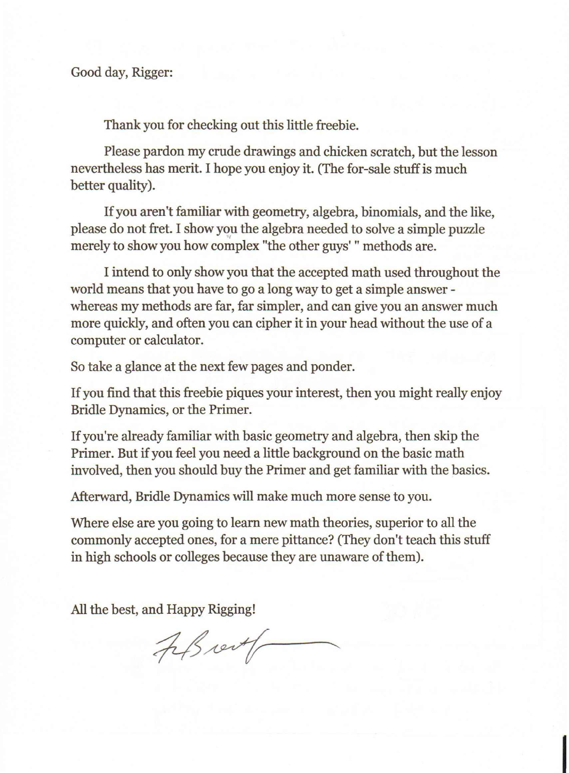Thank you for checking out this little freebie.

Please pardon my crude drawings and chicken scratch, but the lesson nevertheless has merit. I hope you enjoy it. (The for-sale stuff is much better quality).

Ifyou aren't familiar with geometry, algebra, binomials, and the like, please do not fret. I show you the algebra needed to solve a simple puzzle merely to show you how complex "the other guys' " methods are.

I intend to only show you that the accepted math used throughout the world means that you have to go a long way to get a simple answer whereas my methods are far, far simpler, and can give you an answer much more quickly, and often you can cipher it in your head without the use of a computer or calculator.

So take a glance at the next few pages and ponder.

If you find that this freebie piques your interest, then you might really enjoy Bridle Dynamics, or the Primer.

Ifyou're already familiar with basic geometry and algebra, then skip the Primer. But if you feel you need a little background on the basic math involved, then you should buy the Primer and get familiar with the basics.

Afterward, Bridle Dynamics will make much more sense to you.

Where else are you going to learn new math theories, superior to all the commonly accepted ones, for a mere pittance? (They don't teach this stuff in high schools or colleges because they are unaware of them).

All the best, and Happy Rigging!

Fils vert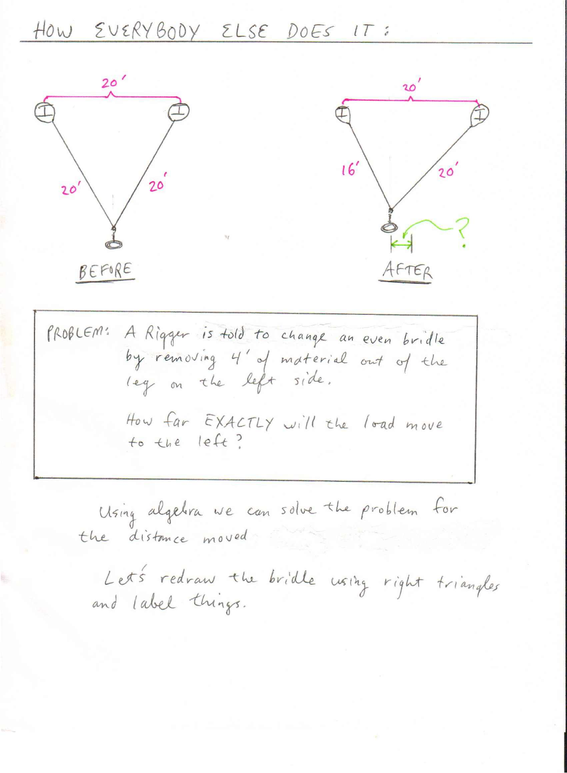## HOW EVERYBODY ELSE DOES IT:

| $20^{1}$           |                                                                                                      |  | 16 |       |
|--------------------|------------------------------------------------------------------------------------------------------|--|----|-------|
| 20'                |                                                                                                      |  |    | 20    |
| BEFORE<br>PROBLEM: | A Rigger is told to change an even bridle                                                            |  |    | AFTER |
|                    | by removing 4' of material out of the<br>leg on the left side.<br>How far EXACTLY will the load move |  |    |       |
|                    | to the left?<br>Using algebra we can solve the problem for                                           |  |    |       |

the distance moved

Let's redraw the bridle using right triangles<br>and label things.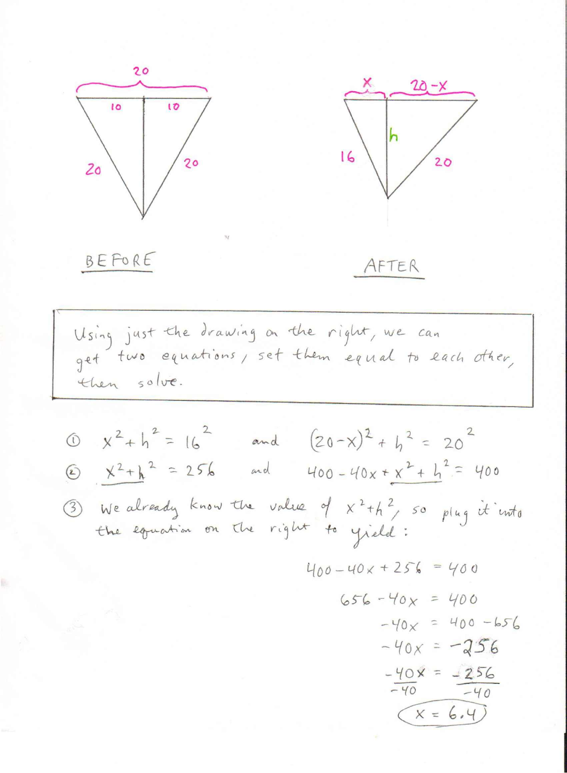